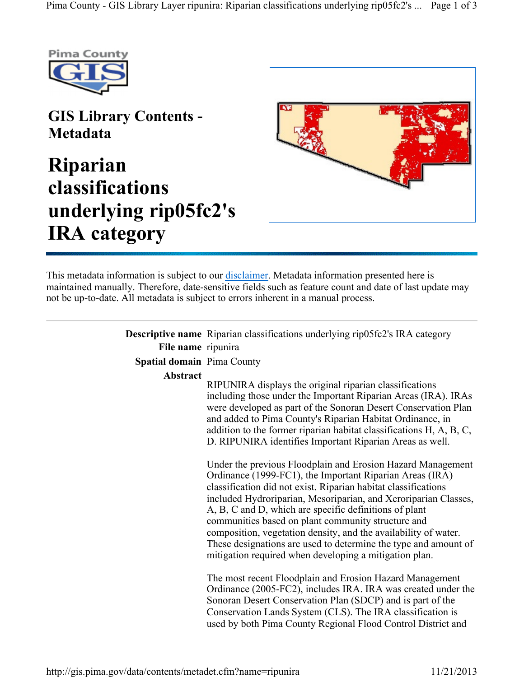

## GIS Library Contents - Metadata

## Riparian classifications underlying rip05fc2's IRA category



This metadata information is subject to our disclaimer. Metadata information presented here is maintained manually. Therefore, date-sensitive fields such as feature count and date of last update may not be up-to-date. All metadata is subject to errors inherent in a manual process.

|                                   | <b>Descriptive name</b> Riparian classifications underlying rip05fc2's IRA category                                                                                                                                                                                                                                                                                                                                                                                                                                                                                                      |
|-----------------------------------|------------------------------------------------------------------------------------------------------------------------------------------------------------------------------------------------------------------------------------------------------------------------------------------------------------------------------------------------------------------------------------------------------------------------------------------------------------------------------------------------------------------------------------------------------------------------------------------|
| File name ripunira                |                                                                                                                                                                                                                                                                                                                                                                                                                                                                                                                                                                                          |
| <b>Spatial domain</b> Pima County |                                                                                                                                                                                                                                                                                                                                                                                                                                                                                                                                                                                          |
| Abstract                          | RIPUNIRA displays the original riparian classifications<br>including those under the Important Riparian Areas (IRA). IRAs<br>were developed as part of the Sonoran Desert Conservation Plan<br>and added to Pima County's Riparian Habitat Ordinance, in<br>addition to the former riparian habitat classifications H, A, B, C,<br>D. RIPUNIRA identifies Important Riparian Areas as well.<br>Under the previous Floodplain and Erosion Hazard Management<br>Ordinance (1999-FC1), the Important Riparian Areas (IRA)<br>classification did not exist. Riparian habitat classifications |
|                                   | included Hydroriparian, Mesoriparian, and Xeroriparian Classes,<br>A, B, C and D, which are specific definitions of plant<br>communities based on plant community structure and<br>composition, vegetation density, and the availability of water.<br>These designations are used to determine the type and amount of<br>mitigation required when developing a mitigation plan.                                                                                                                                                                                                          |
|                                   | The most recent Floodplain and Erosion Hazard Management<br>Ordinance (2005-FC2), includes IRA. IRA was created under the<br>Sonoran Desert Conservation Plan (SDCP) and is part of the<br>Conservation Lands System (CLS). The IRA classification is<br>used by both Pima County Regional Flood Control District and                                                                                                                                                                                                                                                                    |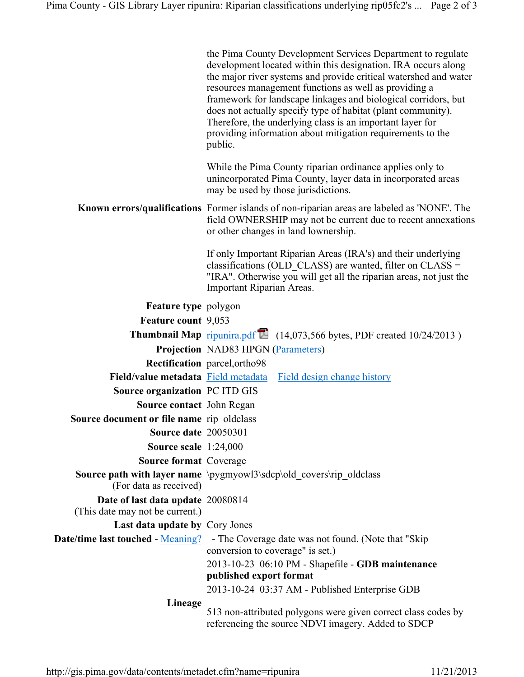| the Pima County Development Services Department to regulate      |  |  |
|------------------------------------------------------------------|--|--|
| development located within this designation. IRA occurs along    |  |  |
| the major river systems and provide critical watershed and water |  |  |
| resources management functions as well as providing a            |  |  |
| framework for landscape linkages and biological corridors, but   |  |  |
| does not actually specify type of habitat (plant community).     |  |  |
| Therefore, the underlying class is an important layer for        |  |  |
| providing information about mitigation requirements to the       |  |  |
| public.                                                          |  |  |

While the Pima County riparian ordinance applies only to unincorporated Pima County, layer data in incorporated areas may be used by those jurisdictions.

Known errors/qualifications Former islands of non-riparian areas are labeled as 'NONE'. The field OWNERSHIP may not be current due to recent annexations or other changes in land lownership.

> If only Important Riparian Areas (IRA's) and their underlying classifications (OLD\_CLASS) are wanted, filter on CLASS = "IRA". Otherwise you will get all the riparian areas, not just the Important Riparian Areas.

Feature type polygon Feature count 9,053 **Thumbnail Map** ripunira.pdf  $\Box$  (14,073,566 bytes, PDF created 10/24/2013) Projection NAD83 HPGN (Parameters) Rectification parcel,ortho98 Field/value metadata Field metadata Field design change history Source organization PC ITD GIS Source contact John Regan Source document or file name rip\_oldclass Source date 20050301 Source scale 1:24,000 Source format Coverage Source path with layer name \pygmyowl3\sdcp\old\_covers\rip\_oldclass (For data as received) Date of last data update 20080814 (This date may not be current.) Last data update by Cory Jones **Date/time last touched - Meaning?** - The Coverage date was not found. (Note that "Skip conversion to coverage" is set.) 2013-10-23 06:10 PM - Shapefile - GDB maintenance published export format 2013-10-24 03:37 AM - Published Enterprise GDB Lineage 513 non-attributed polygons were given correct class codes by referencing the source NDVI imagery. Added to SDCP